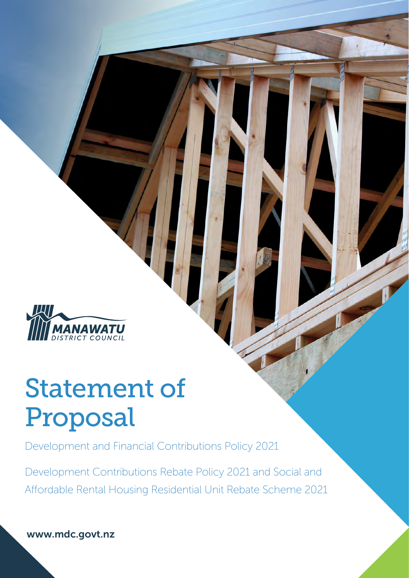

# Statement of Proposal

[Development and Financial Contributions P](#page-1-0)olicy 2021

Development Contributions Rebate Policy 2021 and Social and [Affordable Rental Housing Residential Unit Rebate Scheme 2021](#page-7-0)

[www.mdc.govt.nz](https://www.mdc.govt.nz/Home)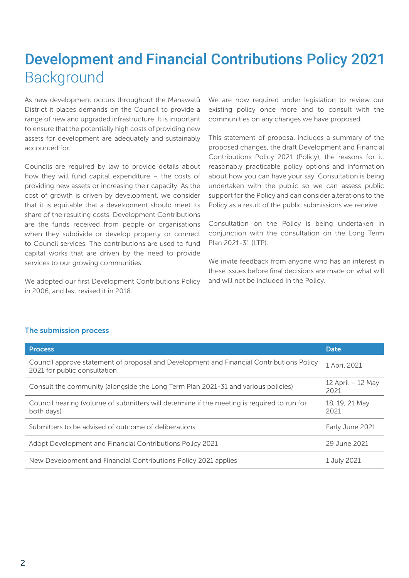# <span id="page-1-0"></span>Development and Financial Contributions Policy 2021 Background

As new development occurs throughout the Manawatū District it places demands on the Council to provide a range of new and upgraded infrastructure. It is important to ensure that the potentially high costs of providing new assets for development are adequately and sustainably accounted for.

Councils are required by law to provide details about how they will fund capital expenditure – the costs of providing new assets or increasing their capacity. As the cost of growth is driven by development, we consider that it is equitable that a development should meet its share of the resulting costs. Development Contributions are the funds received from people or organisations when they subdivide or develop property or connect to Council services. The contributions are used to fund capital works that are driven by the need to provide services to our growing communities.

We adopted our first Development Contributions Policy in 2006, and last revised it in 2018.

We are now required under legislation to review our existing policy once more and to consult with the communities on any changes we have proposed.

This statement of proposal includes a summary of the proposed changes, the draft Development and Financial Contributions Policy 2021 (Policy), the reasons for it, reasonably practicable policy options and information about how you can have your say. Consultation is being undertaken with the public so we can assess public support for the Policy and can consider alterations to the Policy as a result of the public submissions we receive.

Consultation on the Policy is being undertaken in conjunction with the consultation on the Long Term Plan 2021-31 (LTP).

We invite feedback from anyone who has an interest in these issues before final decisions are made on what will and will not be included in the Policy.

| <b>Process</b>                                                                                                           | <b>Date</b>               |
|--------------------------------------------------------------------------------------------------------------------------|---------------------------|
| Council approve statement of proposal and Development and Financial Contributions Policy<br>2021 for public consultation | 1 April 2021              |
| Consult the community (alongside the Long Term Plan 2021-31 and various policies)                                        | 12 April – 12 May<br>2021 |
| Council hearing (volume of submitters will determine if the meeting is required to run for<br>both days)                 | 18, 19, 21 May<br>2021    |
| Submitters to be advised of outcome of deliberations                                                                     | Early June 2021           |
| Adopt Development and Financial Contributions Policy 2021                                                                | 29 June 2021              |
| New Development and Financial Contributions Policy 2021 applies                                                          | 1 July 2021               |

### The submission process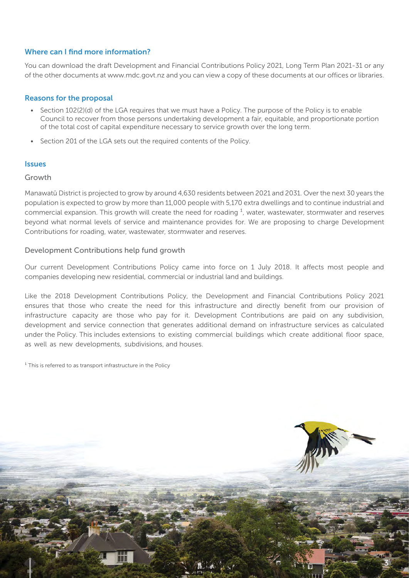### Where can I find more information?

You can download the draft Development and Financial Contributions Policy 2021, Long Term Plan 2021-31 or any of the other documents at www.mdc.govt.nz and you can view a copy of these documents at our offices or libraries.

### Reasons for the proposal

- Section 102(2)(d) of the LGA requires that we must have a Policy. The purpose of the Policy is to enable Council to recover from those persons undertaking development a fair, equitable, and proportionate portion of the total cost of capital expenditure necessary to service growth over the long term.
- Section 201 of the LGA sets out the required contents of the Policy.

### Issues

#### Growth

Manawatū District is projected to grow by around 4,630 residents between 2021 and 2031. Over the next 30 years the population is expected to grow by more than 11,000 people with 5,170 extra dwellings and to continue industrial and commercial expansion. This growth will create the need for roading  $<sup>1</sup>$ , water, wastewater, stormwater and reserves</sup> beyond what normal levels of service and maintenance provides for. We are proposing to charge Development Contributions for roading, water, wastewater, stormwater and reserves.

### Development Contributions help fund growth

Our current Development Contributions Policy came into force on 1 July 2018. It affects most people and companies developing new residential, commercial or industrial land and buildings.

Like the 2018 Development Contributions Policy, the Development and Financial Contributions Policy 2021 ensures that those who create the need for this infrastructure and directly benefit from our provision of infrastructure capacity are those who pay for it. Development Contributions are paid on any subdivision, development and service connection that generates additional demand on infrastructure services as calculated under the Policy. This includes extensions to existing commercial buildings which create additional floor space, as well as new developments, subdivisions, and houses.

 $1$  This is referred to as transport infrastructure in the Policy

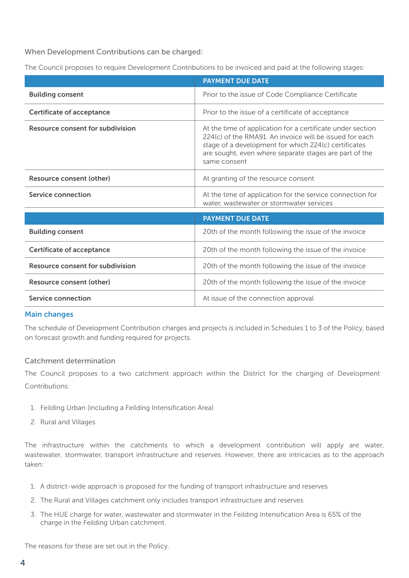When Development Contributions can be charged:

The Council proposes to require Development Contributions to be invoiced and paid at the following stages:

|                                         | <b>PAYMENT DUE DATE</b>                                                                                                                                                                                                                                 |
|-----------------------------------------|---------------------------------------------------------------------------------------------------------------------------------------------------------------------------------------------------------------------------------------------------------|
| <b>Building consent</b>                 | Prior to the issue of Code Compliance Certificate                                                                                                                                                                                                       |
| <b>Certificate of acceptance</b>        | Prior to the issue of a certificate of acceptance                                                                                                                                                                                                       |
| Resource consent for subdivision        | At the time of application for a certificate under section<br>224(c) of the RMA91. An invoice will be issued for each<br>stage of a development for which 224(c) certificates<br>are sought, even where separate stages are part of the<br>same consent |
| Resource consent (other)                | At granting of the resource consent                                                                                                                                                                                                                     |
| Service connection                      | At the time of application for the service connection for<br>water, wastewater or stormwater services                                                                                                                                                   |
|                                         | <b>PAYMENT DUE DATE</b>                                                                                                                                                                                                                                 |
| <b>Building consent</b>                 | 20th of the month following the issue of the invoice                                                                                                                                                                                                    |
| <b>Certificate of acceptance</b>        | 20th of the month following the issue of the invoice                                                                                                                                                                                                    |
| <b>Resource consent for subdivision</b> | 20th of the month following the issue of the invoice                                                                                                                                                                                                    |
| <b>Resource consent (other)</b>         | 20th of the month following the issue of the invoice                                                                                                                                                                                                    |
| Service connection                      | At issue of the connection approval                                                                                                                                                                                                                     |

### Main changes

The schedule of Development Contribution charges and projects is included in Schedules 1 to 3 of the Policy, based on forecast growth and funding required for projects.

### Catchment determination

The Council proposes to a two catchment approach within the District for the charging of Development Contributions:

- 1. Feilding Urban (including a Feilding Intensification Area)
- 2. Rural and Villages

The infrastructure within the catchments to which a development contribution will apply are water, wastewater, stormwater, transport infrastructure and reserves. However, there are intricacies as to the approach taken:

- 1. A district-wide approach is proposed for the funding of transport infrastructure and reserves
- 2. The Rural and Villages catchment only includes transport infrastructure and reserves
- 3. The HUE charge for water, wastewater and stormwater in the Feilding Intensification Area is 65% of the charge in the Feilding Urban catchment.

The reasons for these are set out in the Policy.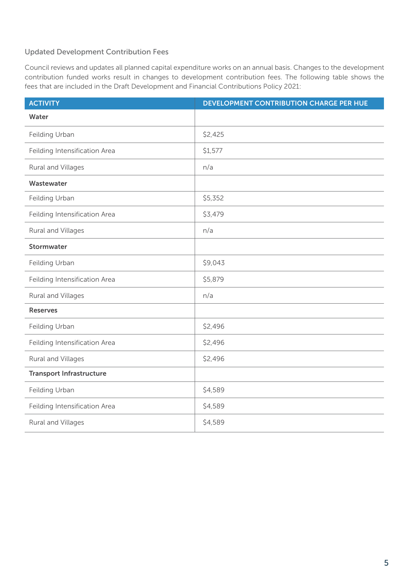### Updated Development Contribution Fees

Council reviews and updates all planned capital expenditure works on an annual basis. Changes to the development contribution funded works result in changes to development contribution fees. The following table shows the fees that are included in the Draft Development and Financial Contributions Policy 2021:

| <b>ACTIVITY</b>                 | DEVELOPMENT CONTRIBUTION CHARGE PER HUE |
|---------------------------------|-----------------------------------------|
| Water                           |                                         |
| Feilding Urban                  | \$2,425                                 |
| Feilding Intensification Area   | \$1,577                                 |
| Rural and Villages              | n/a                                     |
| Wastewater                      |                                         |
| Feilding Urban                  | \$5,352                                 |
| Feilding Intensification Area   | \$3,479                                 |
| Rural and Villages              | n/a                                     |
| Stormwater                      |                                         |
| Feilding Urban                  | \$9,043                                 |
| Feilding Intensification Area   | \$5,879                                 |
| Rural and Villages              | n/a                                     |
| <b>Reserves</b>                 |                                         |
| Feilding Urban                  | \$2,496                                 |
| Feilding Intensification Area   | \$2,496                                 |
| Rural and Villages              | \$2,496                                 |
| <b>Transport Infrastructure</b> |                                         |
| Feilding Urban                  | \$4,589                                 |
| Feilding Intensification Area   | \$4,589                                 |
| Rural and Villages              | \$4,589                                 |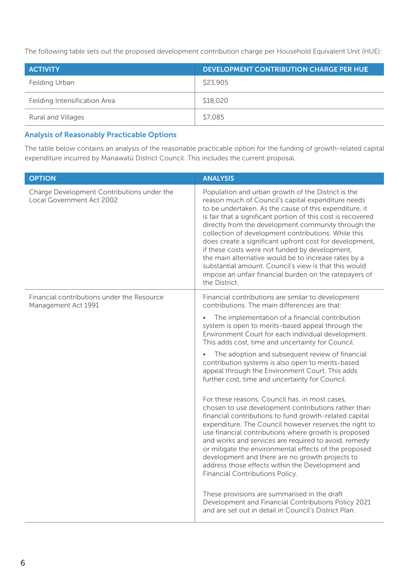The following table sets out the proposed development contribution charge per Household Equivalent Unit (HUE):

| <b>ACTIVITY</b>               | <b>DEVELOPMENT CONTRIBUTION CHARGE PER HUE</b> |
|-------------------------------|------------------------------------------------|
| Feilding Urban                | \$23,905                                       |
| Feilding Intensification Area | \$18,020                                       |
| Rural and Villages            | \$7,085                                        |

### Analysis of Reasonably Practicable Options

The table below contains an analysis of the reasonable practicable option for the funding of growth-related capital expenditure incurred by Manawatū District Council. This includes the current proposal.

| <b>OPTION</b>                                                           | <b>ANALYSIS</b>                                                                                                                                                                                                                                                                                                                                                                                                                                                                                                                                                                                                                                           |
|-------------------------------------------------------------------------|-----------------------------------------------------------------------------------------------------------------------------------------------------------------------------------------------------------------------------------------------------------------------------------------------------------------------------------------------------------------------------------------------------------------------------------------------------------------------------------------------------------------------------------------------------------------------------------------------------------------------------------------------------------|
| Charge Development Contributions under the<br>Local Government Act 2002 | Population and urban growth of the District is the<br>reason much of Council's capital expenditure needs<br>to be undertaken. As the cause of this expenditure, it<br>is fair that a significant portion of this cost is recovered<br>directly from the development community through the<br>collection of development contributions. While this<br>does create a significant upfront cost for development,<br>if these costs were not funded by development,<br>the main alternative would be to increase rates by a<br>substantial amount. Council's view is that this would<br>impose an unfair financial burden on the ratepayers of<br>the District. |
| Financial contributions under the Resource<br>Management Act 1991       | Financial contributions are similar to development<br>contributions. The main differences are that:                                                                                                                                                                                                                                                                                                                                                                                                                                                                                                                                                       |
|                                                                         | The implementation of a financial contribution<br>system is open to merits-based appeal through the<br>Environment Court for each individual development.<br>This adds cost, time and uncertainty for Council.                                                                                                                                                                                                                                                                                                                                                                                                                                            |
|                                                                         | The adoption and subsequent review of financial<br>$\bullet$<br>contribution systems is also open to merits-based<br>appeal through the Environment Court. This adds<br>further cost, time and uncertainty for Council.                                                                                                                                                                                                                                                                                                                                                                                                                                   |
|                                                                         | For these reasons, Council has, in most cases,<br>chosen to use development contributions rather than<br>financial contributions to fund growth-related capital<br>expenditure. The Council however reserves the right to<br>use financial contributions where growth is proposed<br>and works and services are required to avoid, remedy<br>or mitigate the environmental effects of the proposed<br>development and there are no growth projects to<br>address those effects within the Development and<br>Financial Contributions Policy.                                                                                                              |
|                                                                         | These provisions are summarised in the draft<br>Development and Financial Contributions Policy 2021<br>and are set out in detail in Council's District Plan.                                                                                                                                                                                                                                                                                                                                                                                                                                                                                              |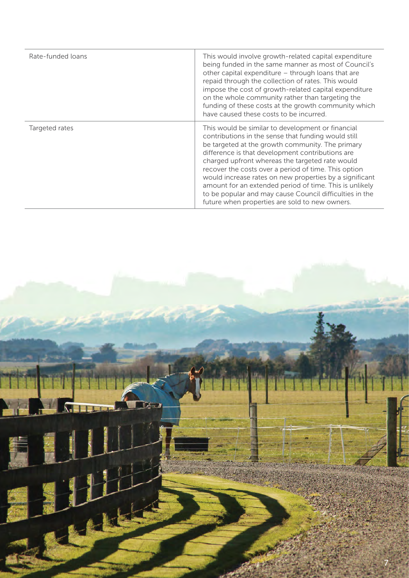| Rate-funded loans | This would involve growth-related capital expenditure<br>being funded in the same manner as most of Council's<br>other capital expenditure - through loans that are<br>repaid through the collection of rates. This would<br>impose the cost of growth-related capital expenditure<br>on the whole community rather than targeting the<br>funding of these costs at the growth community which<br>have caused these costs to be incurred.                                                                                                                      |
|-------------------|----------------------------------------------------------------------------------------------------------------------------------------------------------------------------------------------------------------------------------------------------------------------------------------------------------------------------------------------------------------------------------------------------------------------------------------------------------------------------------------------------------------------------------------------------------------|
| Targeted rates    | This would be similar to development or financial<br>contributions in the sense that funding would still<br>be targeted at the growth community. The primary<br>difference is that development contributions are<br>charged upfront whereas the targeted rate would<br>recover the costs over a period of time. This option<br>would increase rates on new properties by a significant<br>amount for an extended period of time. This is unlikely<br>to be popular and may cause Council difficulties in the<br>future when properties are sold to new owners. |

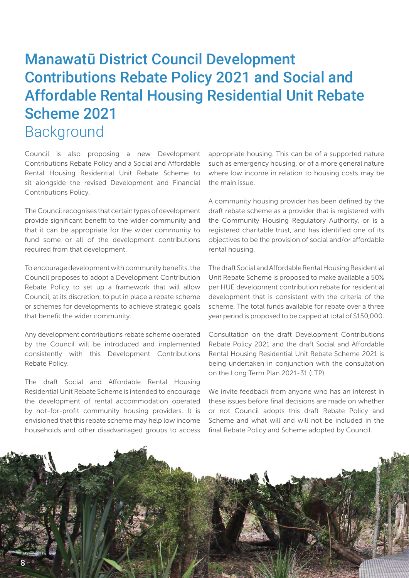## <span id="page-7-0"></span>Manawatū District Council Development Contributions Rebate Policy 2021 and Social and Affordable Rental Housing Residential Unit Rebate Scheme 2021 **Background**

Council is also proposing a new Development Contributions Rebate Policy and a Social and Affordable Rental Housing Residential Unit Rebate Scheme to sit alongside the revised Development and Financial Contributions Policy.

The Council recognises that certain types of development provide significant benefit to the wider community and that it can be appropriate for the wider community to fund some or all of the development contributions required from that development.

To encourage development with community benefits, the Council proposes to adopt a Development Contribution Rebate Policy to set up a framework that will allow Council, at its discretion, to put in place a rebate scheme or schemes for developments to achieve strategic goals that benefit the wider community.

Any development contributions rebate scheme operated by the Council will be introduced and implemented consistently with this Development Contributions Rebate Policy.

The draft Social and Affordable Rental Housing Residential Unit Rebate Scheme is intended to encourage the development of rental accommodation operated by not-for-profit community housing providers. It is envisioned that this rebate scheme may help low income households and other disadvantaged groups to access

appropriate housing. This can be of a supported nature such as emergency housing, or of a more general nature where low income in relation to housing costs may be the main issue.

A community housing provider has been defined by the draft rebate scheme as a provider that is registered with the Community Housing Regulatory Authority, or is a registered charitable trust, and has identified one of its objectives to be the provision of social and/or affordable rental housing.

The draft Social and Affordable Rental Housing Residential Unit Rebate Scheme is proposed to make available a 50% per HUE development contribution rebate for residential development that is consistent with the criteria of the scheme. The total funds available for rebate over a three year period is proposed to be capped at total of \$150,000.

Consultation on the draft Development Contributions Rebate Policy 2021 and the draft Social and Affordable Rental Housing Residential Unit Rebate Scheme 2021 is being undertaken in conjunction with the consultation on the Long Term Plan 2021-31 (LTP).

We invite feedback from anyone who has an interest in these issues before final decisions are made on whether or not Council adopts this draft Rebate Policy and Scheme and what will and will not be included in the final Rebate Policy and Scheme adopted by Council.

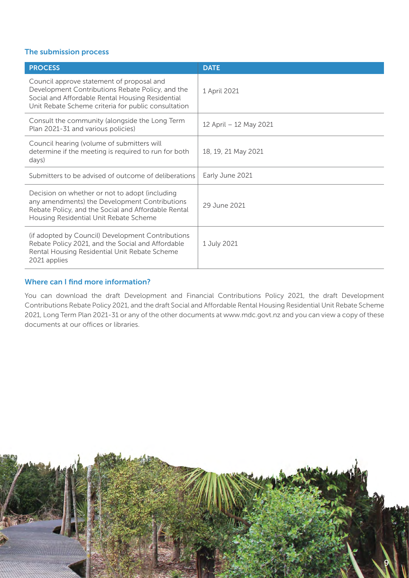### The submission process

| <b>PROCESS</b>                                                                                                                                                                                           | <b>DATE</b>            |
|----------------------------------------------------------------------------------------------------------------------------------------------------------------------------------------------------------|------------------------|
| Council approve statement of proposal and<br>Development Contributions Rebate Policy, and the<br>Social and Affordable Rental Housing Residential<br>Unit Rebate Scheme criteria for public consultation | 1 April 2021           |
| Consult the community (alongside the Long Term<br>Plan 2021-31 and various policies)                                                                                                                     | 12 April - 12 May 2021 |
| Council hearing (volume of submitters will<br>determine if the meeting is required to run for both<br>days)                                                                                              | 18, 19, 21 May 2021    |
| Submitters to be advised of outcome of deliberations                                                                                                                                                     | Early June 2021        |
| Decision on whether or not to adopt (including<br>any amendments) the Development Contributions<br>Rebate Policy, and the Social and Affordable Rental<br>Housing Residential Unit Rebate Scheme         | 29 June 2021           |
| (if adopted by Council) Development Contributions<br>Rebate Policy 2021, and the Social and Affordable<br>Rental Housing Residential Unit Rebate Scheme<br>2021 applies                                  | 1 July 2021            |

### Where can I find more information?

You can download the draft Development and Financial Contributions Policy 2021, the draft Development Contributions Rebate Policy 2021, and the draft Social and Affordable Rental Housing Residential Unit Rebate Scheme 2021, Long Term Plan 2021-31 or any of the other documents at www.mdc.govt.nz and you can view a copy of these documents at our offices or libraries.

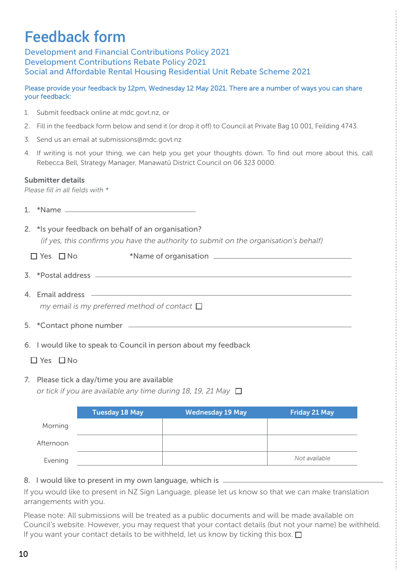# Feedback form

Development and Financial Contributions Policy 2021 Development Contributions Rebate Policy 2021 Social and Affordable Rental Housing Residential Unit Rebate Scheme 2021

### Please provide your feedback by 12pm, Wednesday 12 May 2021. There are a number of ways you can share your feedback:

- 1. Submit feedback online at mdc.govt.nz, or
- 2. Fill in the feedback form below and send it (or drop it off) to Council at Private Bag 10 001, Feilding 4743.
- 3. Send us an email at submissions@mdc.govt.nz
- 4. If writing is not your thing, we can help you get your thoughts down. To find out more about this, call Rebecca Bell, Strategy Manager, Manawatū District Council on 06 323 0000.

### Submitter details

*Please fill in all fields with \**

- 1. \*Name
- 2. \*Is your feedback on behalf of an organisation?

 *(if yes, this confirms you have the authority to submit on the organisation's behalf)* 

- Yes No \*Name of organisation
- 3. \*Postal address
- 4. Email address *my email is my preferred method of contact*
- 5. \*Contact phone number
- 6. I would like to speak to Council in person about my feedback
	- $\Box$  Yes  $\Box$  No
- 7. Please tick a day/time you are available *or tick if you are available any time during 18, 19, 21 May*

|           | <b>Tuesday 18 May</b> | <b>Wednesday 19 May</b> | <b>Friday 21 May</b> |
|-----------|-----------------------|-------------------------|----------------------|
| Morning   |                       |                         |                      |
| Afternoon |                       |                         |                      |
| Evening   |                       |                         | Not available        |

8. I would like to present in my own language, which is

If you would like to present in NZ Sign Language, please let us know so that we can make translation arrangements with you.

Please note: All submissions will be treated as a public documents and will be made available on Council's website. However, you may request that your contact details (but not your name) be withheld. If you want your contact details to be withheld, let us know by ticking this box.  $\square$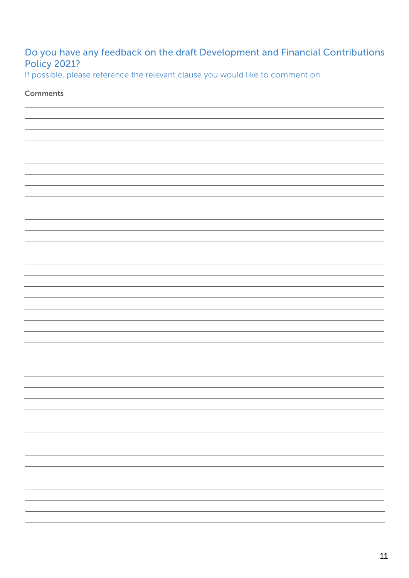### Do you have any feedback on the draft Development and Financial Contributions Policy 2021?

If possible, please reference the relevant clause you would like to comment on.

### Comments

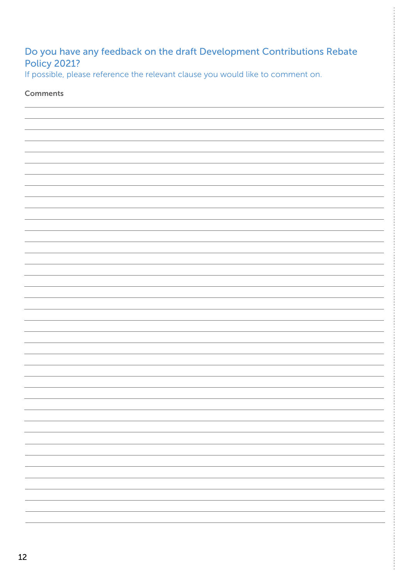### Do you have any feedback on the draft Development Contributions Rebate Policy 2021?

If possible, please reference the relevant clause you would like to comment on.

### Comments

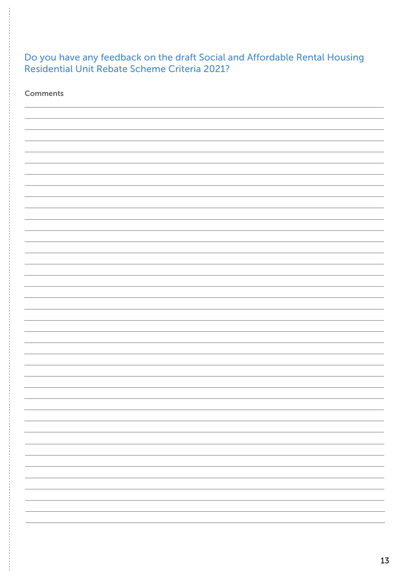### Do you have any feedback on the draft Social and Affordable Rental Housing Residential Unit Rebate Scheme Criteria 2021?

**Comments** 

ŧ

| - |
|---|
|   |
|   |
|   |
|   |
|   |
|   |
|   |
|   |
|   |
|   |
|   |
|   |
| - |
|   |
|   |
| - |
|   |
|   |
|   |
|   |
|   |
| - |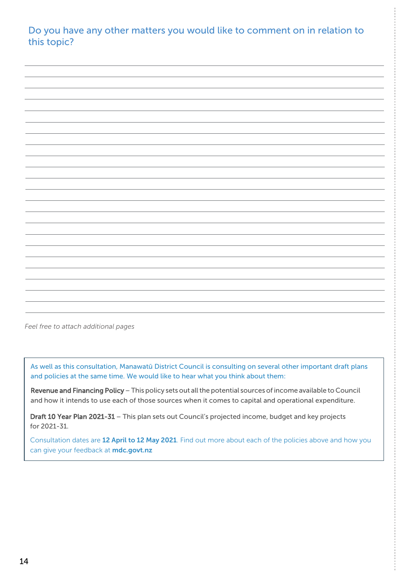Do you have any other matters you would like to comment on in relation to this topic?

*Feel free to attach additional pages*

As well as this consultation, Manawatū District Council is consulting on several other important draft plans and policies at the same time. We would like to hear what you think about them:

Revenue and Financing Policy – This policy sets out all the potential sources of income available to Council and how it intends to use each of those sources when it comes to capital and operational expenditure.

Draft 10 Year Plan 2021-31 – This plan sets out Council's projected income, budget and key projects for 2021-31.

Consultation dates are 12 April to 12 May 2021. Find out more about each of the policies above and how you can give your feedback at **mdc.govt.nz**